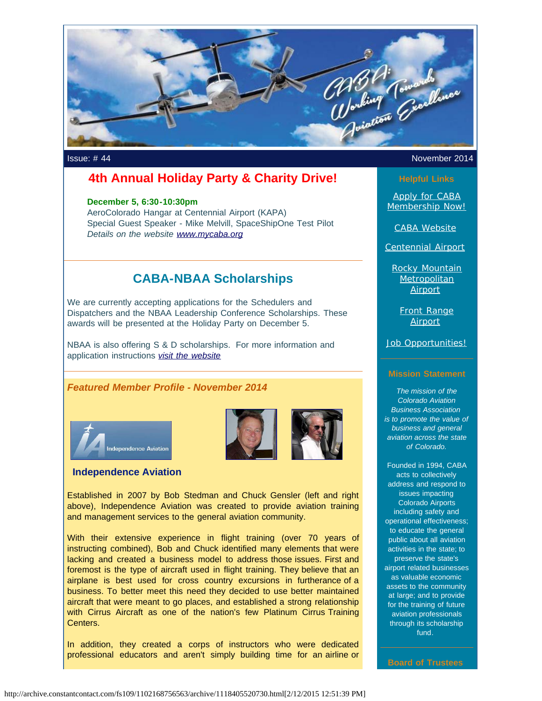

### **4th Annual Holiday Party & Charity Drive!**

#### **December 5, 6:30-10:30pm**

AeroColorado Hangar at Centennial Airport (KAPA) Special Guest Speaker - Mike Melvill, SpaceShipOne Test Pilot *Details on the website [www.mycaba.org](http://www.mycaba.org/?utm_source=Newsletter+November+2014&utm_campaign=November+2014+Newsletter&utm_medium=email)*

## **CABA-NBAA Scholarships**

We are currently accepting applications for the Schedulers and Dispatchers and the NBAA Leadership Conference Scholarships. These awards will be presented at the Holiday Party on December 5.

NBAA is also offering S & D scholarships. For more information and application instructions *[visit the website](http://www.mycaba.org/nbaascholarships?utm_source=Newsletter+November+2014&utm_campaign=November+2014+Newsletter&utm_medium=email)*

#### *Featured Member Profile - November 2014*



#### **Independence Aviation**



Established in 2007 by Bob Stedman and Chuck Gensler (left and right above), Independence Aviation was created to provide aviation training and management services to the general aviation community.

With their extensive experience in flight training (over 70 years of instructing combined), Bob and Chuck identified many elements that were lacking and created a business model to address those issues. First and foremost is the type of aircraft used in flight training. They believe that an airplane is best used for cross country excursions in furtherance of a business. To better meet this need they decided to use better maintained aircraft that were meant to go places, and established a strong relationship with Cirrus Aircraft as one of the nation's few Platinum Cirrus Training Centers.

In addition, they created a corps of instructors who were dedicated professional educators and aren't simply building time for an airline or

#### Issue: # 44 November 2014

#### **Helpful Links**

[Apply for CABA](http://www.mycaba.org/application?utm_source=Newsletter+November+2014&utm_campaign=November+2014+Newsletter&utm_medium=email) [Membership Now!](http://www.mycaba.org/application?utm_source=Newsletter+November+2014&utm_campaign=November+2014+Newsletter&utm_medium=email)

[CABA Website](http://www.mycaba.org/?utm_source=Newsletter+November+2014&utm_campaign=November+2014+Newsletter&utm_medium=email)

[Centennial Airport](http://centennialairport.com/?utm_source=Newsletter+November+2014&utm_campaign=November+2014+Newsletter&utm_medium=email)

[Rocky Mountain](http://jeffco.us/airport/?utm_source=Newsletter+November+2014&utm_campaign=November+2014+Newsletter&utm_medium=email) **[Metropolitan](http://jeffco.us/airport/?utm_source=Newsletter+November+2014&utm_campaign=November+2014+Newsletter&utm_medium=email)** [Airport](http://jeffco.us/airport/?utm_source=Newsletter+November+2014&utm_campaign=November+2014+Newsletter&utm_medium=email)

> [Front Range](http://www.ftg-airport.com/?utm_source=Newsletter+November+2014&utm_campaign=November+2014+Newsletter&utm_medium=email) **[Airport](http://www.ftg-airport.com/?utm_source=Newsletter+November+2014&utm_campaign=November+2014+Newsletter&utm_medium=email)**

[Job Opportunities!](http://mycaba.org/JobOps?utm_source=Newsletter+November+2014&utm_campaign=November+2014+Newsletter&utm_medium=email)

#### **Mission Statement**

*The mission of the Colorado Aviation Business Association is to promote the value of business and general aviation across the state of Colorado.*

Founded in 1994, CABA acts to collectively address and respond to issues impacting Colorado Airports including safety and operational effectiveness; to educate the general public about all aviation activities in the state; to preserve the state's airport related businesses as valuable economic assets to the community at large; and to provide for the training of future aviation professionals through its scholarship fund.

**Board of Trustees**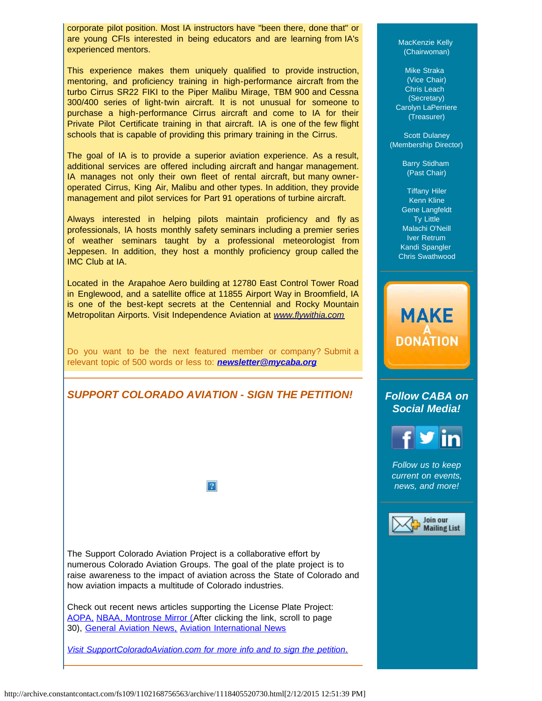corporate pilot position. Most IA instructors have "been there, done that" or are young CFIs interested in being educators and are learning from IA's experienced mentors.

This experience makes them uniquely qualified to provide instruction, mentoring, and proficiency training in high-performance aircraft from the turbo Cirrus SR22 FIKI to the Piper Malibu Mirage, TBM 900 and Cessna 300/400 series of light-twin aircraft. It is not unusual for someone to purchase a high-performance Cirrus aircraft and come to IA for their Private Pilot Certificate training in that aircraft. IA is one of the few flight schools that is capable of providing this primary training in the Cirrus.

The goal of IA is to provide a superior aviation experience. As a result, additional services are offered including aircraft and hangar management. IA manages not only their own fleet of rental aircraft, but many owneroperated Cirrus, King Air, Malibu and other types. In addition, they provide management and pilot services for Part 91 operations of turbine aircraft.

Always interested in helping pilots maintain proficiency and fly as professionals, IA hosts monthly safety seminars including a premier series of weather seminars taught by a professional meteorologist from Jeppesen. In addition, they host a monthly proficiency group called the IMC Club at IA.

Located in the Arapahoe Aero building at 12780 East Control Tower Road in Englewood, and a satellite office at 11855 Airport Way in Broomfield, IA is one of the best-kept secrets at the Centennial and Rocky Mountain Metropolitan Airports. Visit Independence Aviation at *[www.flywithia.com](http://www.flywithia.com/?utm_source=Newsletter+November+2014&utm_campaign=November+2014+Newsletter&utm_medium=email)*

Do you want to be the next featured member or company? Submit a relevant topic of 500 words or less to: *[newsletter@mycaba.org](mailto:bdavies@mycaba.org)* 



 $|2|$ 

The Support Colorado Aviation Project is a collaborative effort by numerous Colorado Aviation Groups. The goal of the plate project is to raise awareness to the impact of aviation across the State of Colorado and how aviation impacts a multitude of Colorado industries.

Check out recent news articles supporting the License Plate Project: [AOPA,](http://www.aopa.org/News-and-Video/All-News/2014/June/11/Colorado-petition-seeks-aviation-license-plate.aspx?utm_source=Newsletter+November+2014&utm_campaign=November+2014+Newsletter&utm_medium=email) [NBAA](http://www.nbaa.org/advocacy/regional/20140704-proposed-license-plate-would-support-colorado-aviation.php?utm_source=Newsletter+November+2014&utm_campaign=November+2014+Newsletter&utm_medium=email)[, Montrose Mirror \(A](http://montrosemirror.com/wp-content/uploads/2014/07/ISSUE88.pdf?utm_source=Campaign+Created+2014%2F07%2F15%2C+7%3A14+AM&utm_campaign=ISSUE88&utm_medium=email&utm_source=Newsletter+November+2014&utm_campaign=November+2014+Newsletter&utm_medium=email)fter clicking the link, scroll to page 30), [General Aviation News,](http://generalaviationnews.com/2014/06/30/colorado-support-aviation-license-plate-introduced/?utm_source=Newsletter+November+2014&utm_campaign=November+2014+Newsletter&utm_medium=email) [Aviation International News](http://www.ainonline.com/aviation-news/ainalerts/2014-06-19/colorado-aviation-groups-seek-signatures-aviation-license-plate-project?utm_source=Newsletter+November+2014&utm_campaign=November+2014+Newsletter&utm_medium=email)

*[Visit SupportColoradoAviation.com for more info and to sign the petition](http://www.supportcoloradoaviation.com/?utm_source=Newsletter+November+2014&utm_campaign=November+2014+Newsletter&utm_medium=email)*[.](http://www.supportcoloradoaviation.com/?utm_source=Newsletter+November+2014&utm_campaign=November+2014+Newsletter&utm_medium=email)

MacKenzie Kelly (Chairwoman)

Mike Straka (Vice Chair) Chris Leach (Secretary) Carolyn LaPerriere (Treasurer)

Scott Dulaney (Membership Director)

> Barry Stidham (Past Chair)

Tiffany Hiler Kenn Kline Gene Langfeldt Ty Little Malachi O'Neill Iver Retrum Kandi Spangler Chris Swathwood

# *Follow CABA on*

**MAKE** 

**DONATION** 



*Follow us to keep current on events, news, and more!*